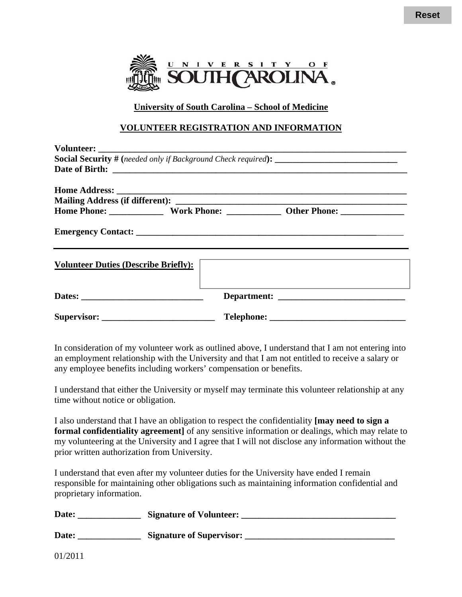

University of South Carolina - School of Medicine

#### **VOLUNTEER REGISTRATION AND INFORMATION**

| <b>Volunteer Duties (Describe Briefly):</b> |  | <u> 1989 - Johann John Stone, markin sanadi a shekara ta 1989 - An tsara tsara tsara tsara tsara tsara tsara tsa</u> |  |
|---------------------------------------------|--|----------------------------------------------------------------------------------------------------------------------|--|
|                                             |  |                                                                                                                      |  |
|                                             |  |                                                                                                                      |  |

In consideration of my volunteer work as outlined above, I understand that I am not entering into an employment relationship with the University and that I am not entitled to receive a salary or any employee benefits including workers' compensation or benefits.

I understand that either the University or myself may terminate this volunteer relationship at any time without notice or obligation.

I also understand that I have an obligation to respect the confidentiality [may need to sign a formal confidentiality agreement] of any sensitive information or dealings, which may relate to my volunteering at the University and I agree that I will not disclose any information without the prior written authorization from University.

I understand that even after my volunteer duties for the University have ended I remain responsible for maintaining other obligations such as maintaining information confidential and proprietary information.

| Date: | <b>Signature of Volunteer:</b>  |  |  |  |
|-------|---------------------------------|--|--|--|
| Date: | <b>Signature of Supervisor:</b> |  |  |  |

01/2011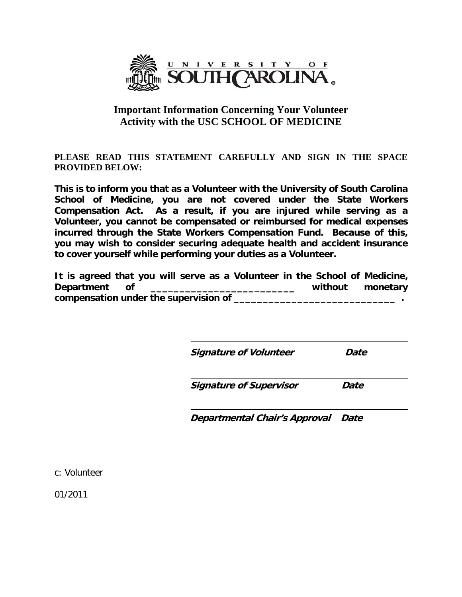

## **Important Information Concerning Your Volunteer Activity with the USC SCHOOL OF MEDICINE**

PLEASE READ THIS STATEMENT CAREFULLY AND SIGN IN THE SPACE **PROVIDED BELOW:** 

This is to inform you that as a Volunteer with the University of South Carolina School of Medicine, you are not covered under the State Workers Compensation Act. As a result, if you are injured while serving as a Volunteer, you cannot be compensated or reimbursed for medical expenses incurred through the State Workers Compensation Fund. Because of this, you may wish to consider securing adequate health and accident insurance to cover yourself while performing your duties as a Volunteer.

It is agreed that you will serve as a Volunteer in the School of Medicine, **Department**  $of$ without monetary compensation under the supervision of \_\_\_\_\_\_\_\_\_

**Signature of Volunteer** 

**Date** 

**Signature of Supervisor** Date

**Departmental Chair's Approval Date** 

c: Volunteer

01/2011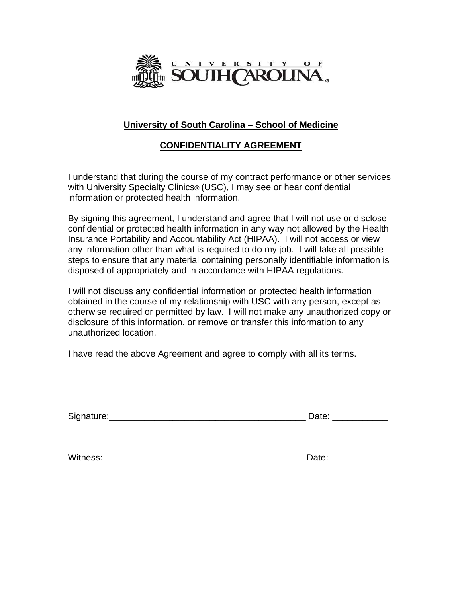

## University of South Carolina - School of Medicine

## **CONFIDENTIALITY AGREEMENT**

I understand that during the course of my contract performance or other services with University Specialty Clinics® (USC), I may see or hear confidential information or protected health information.

By signing this agreement, I understand and agree that I will not use or disclose confidential or protected health information in any way not allowed by the Health Insurance Portability and Accountability Act (HIPAA). I will not access or view any information other than what is required to do my job. I will take all possible steps to ensure that any material containing personally identifiable information is disposed of appropriately and in accordance with HIPAA regulations.

I will not discuss any confidential information or protected health information obtained in the course of my relationship with USC with any person, except as otherwise required or permitted by law. I will not make any unauthorized copy or disclosure of this information, or remove or transfer this information to any unauthorized location.

I have read the above Agreement and agree to comply with all its terms.

| Signature: | Date: |
|------------|-------|
|            |       |

| Witness: | ate/ |  |
|----------|------|--|
|          |      |  |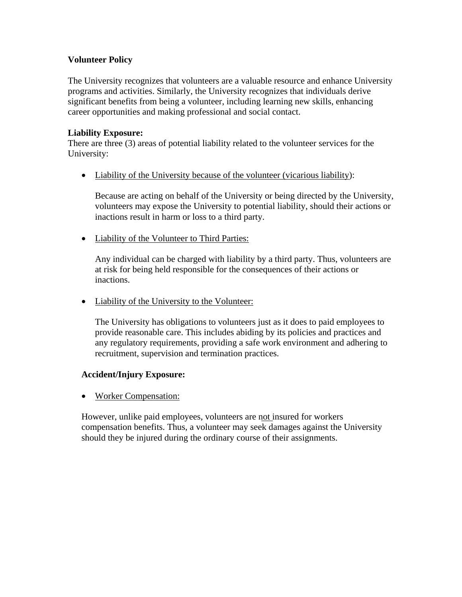### **Volunteer Policy**

The University recognizes that volunteers are a valuable resource and enhance University programs and activities. Similarly, the University recognizes that individuals derive significant benefits from being a volunteer, including learning new skills, enhancing career opportunities and making professional and social contact.

#### **Liability Exposure:**

There are three (3) areas of potential liability related to the volunteer services for the University:

• Liability of the University because of the volunteer (vicarious liability):

Because are acting on behalf of the University or being directed by the University, volunteers may expose the University to potential liability, should their actions or inactions result in harm or loss to a third party.

• Liability of the Volunteer to Third Parties:

Any individual can be charged with liability by a third party. Thus, volunteers are at risk for being held responsible for the consequences of their actions or inactions.

• Liability of the University to the Volunteer:

The University has obligations to volunteers just as it does to paid employees to provide reasonable care. This includes abiding by its policies and practices and any regulatory requirements, providing a safe work environment and adhering to recruitment, supervision and termination practices.

#### **Accident/Injury Exposure:**

• Worker Compensation:

However, unlike paid employees, volunteers are not insured for workers compensation benefits. Thus, a volunteer may seek damages against the University should they be injured during the ordinary course of their assignments.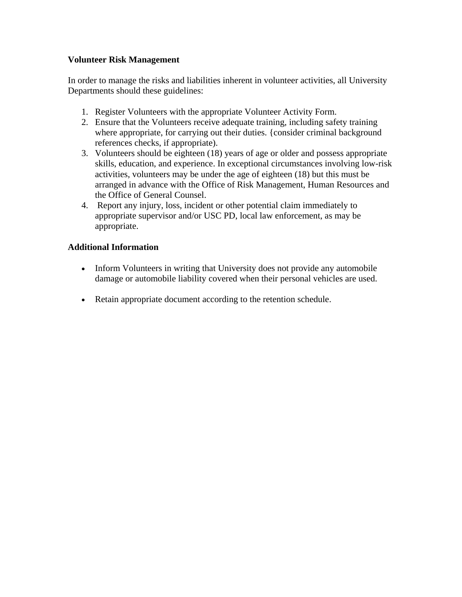#### **Volunteer Risk Management**

In order to manage the risks and liabilities inherent in volunteer activities, all University Departments should these guidelines:

- 1. Register Volunteers with the appropriate Volunteer Activity Form.
- 2. Ensure that the Volunteers receive adequate training, including safety training where appropriate, for carrying out their duties. {consider criminal background references checks, if appropriate).
- 3. Volunteers should be eighteen (18) years of age or older and possess appropriate skills, education, and experience. In exceptional circumstances involving low-risk activities, volunteers may be under the age of eighteen (18) but this must be arranged in advance with the Office of Risk Management, Human Resources and the Office of General Counsel.
- 4. Report any injury, loss, incident or other potential claim immediately to appropriate supervisor and/or USC PD, local law enforcement, as may be appropriate.

#### **Additional Information**

- Inform Volunteers in writing that University does not provide any automobile damage or automobile liability covered when their personal vehicles are used.
- Retain appropriate document according to the retention schedule.